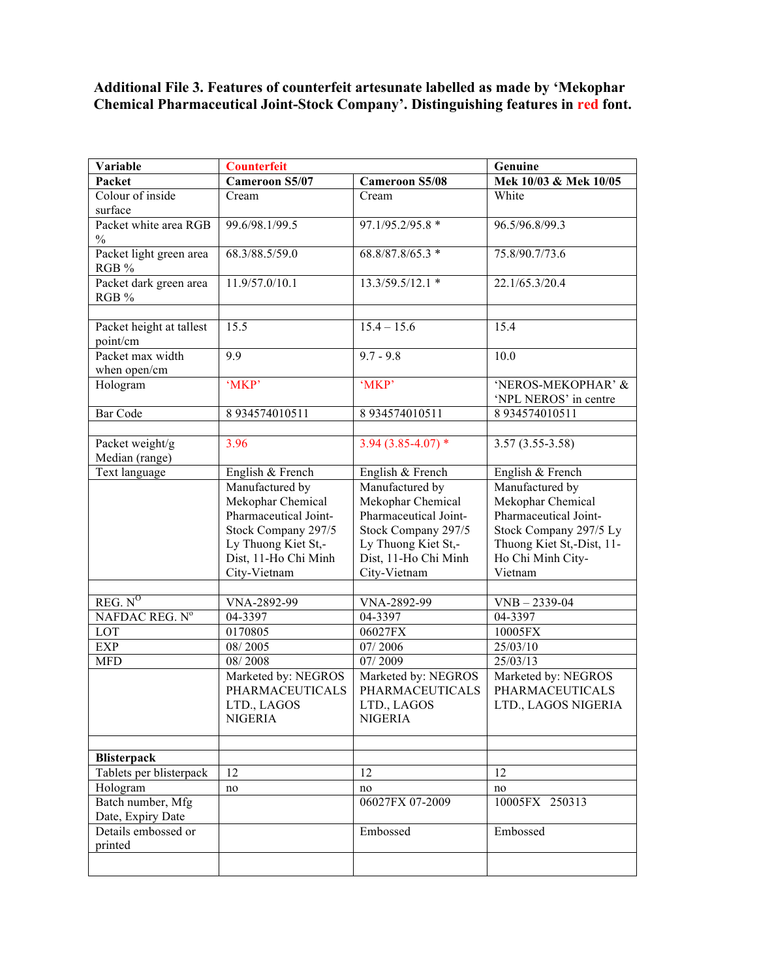## **Additional File 3. Features of counterfeit artesunate labelled as made by 'Mekophar Chemical Pharmaceutical Joint-Stock Company'. Distinguishing features in red font.**

| Variable                 | <b>Counterfeit</b>    |                       | Genuine                                     |
|--------------------------|-----------------------|-----------------------|---------------------------------------------|
| Packet                   | <b>Cameroon S5/07</b> | <b>Cameroon S5/08</b> | Mek 10/03 & Mek 10/05                       |
| Colour of inside         | Cream                 | Cream                 | White                                       |
| surface                  |                       |                       |                                             |
| Packet white area RGB    | 99.6/98.1/99.5        | 97.1/95.2/95.8 *      | 96.5/96.8/99.3                              |
| $\frac{0}{0}$            |                       |                       |                                             |
| Packet light green area  | 68.3/88.5/59.0        | 68.8/87.8/65.3 *      | 75.8/90.7/73.6                              |
| RGB %                    |                       |                       |                                             |
| Packet dark green area   | 11.9/57.0/10.1        | 13.3/59.5/12.1 *      | 22.1/65.3/20.4                              |
| RGB %                    |                       |                       |                                             |
|                          |                       |                       |                                             |
| Packet height at tallest | 15.5                  | $15.4 - 15.6$         | 15.4                                        |
| point/cm                 |                       |                       |                                             |
| Packet max width         | 9.9                   | $9.7 - 9.8$           | 10.0                                        |
| when open/cm             |                       |                       |                                             |
| Hologram                 | 'MKP'                 | 'MKP'                 | 'NEROS-MEKOPHAR' &<br>'NPL NEROS' in centre |
| <b>Bar Code</b>          | 8 934574010511        | 8 934574010511        | 8 934574010511                              |
|                          |                       |                       |                                             |
| Packet weight/g          | 3.96                  | $3.94(3.85 - 4.07)$ * | $3.57(3.55-3.58)$                           |
| Median (range)           |                       |                       |                                             |
| Text language            | English & French      | English & French      | English & French                            |
|                          | Manufactured by       | Manufactured by       | Manufactured by                             |
|                          | Mekophar Chemical     | Mekophar Chemical     | Mekophar Chemical                           |
|                          | Pharmaceutical Joint- | Pharmaceutical Joint- | Pharmaceutical Joint-                       |
|                          | Stock Company 297/5   | Stock Company 297/5   | Stock Company 297/5 Ly                      |
|                          | Ly Thuong Kiet St,-   | Ly Thuong Kiet St,-   | Thuong Kiet St,-Dist, 11-                   |
|                          | Dist, 11-Ho Chi Minh  | Dist, 11-Ho Chi Minh  | Ho Chi Minh City-                           |
|                          | City-Vietnam          | City-Vietnam          | Vietnam                                     |
|                          |                       |                       |                                             |
| REG. N <sup>0</sup>      | VNA-2892-99           | VNA-2892-99           | $VNB - 2339-04$                             |
| NAFDAC REG. Nº           | 04-3397               | 04-3397               | 04-3397                                     |
| LOT                      | 0170805               | 06027FX               | 10005FX                                     |
| <b>EXP</b>               | 08/2005               | 07/2006               | 25/03/10                                    |
| <b>MFD</b>               | 08/2008               | 07/2009               | 25/03/13                                    |
|                          | Marketed by: NEGROS   | Marketed by: NEGROS   | Marketed by: NEGROS                         |
|                          | PHARMACEUTICALS       | PHARMACEUTICALS       | PHARMACEUTICALS                             |
|                          | LTD., LAGOS           | LTD., LAGOS           | LTD., LAGOS NIGERIA                         |
|                          | <b>NIGERIA</b>        | <b>NIGERIA</b>        |                                             |
|                          |                       |                       |                                             |
| <b>Blisterpack</b>       |                       |                       |                                             |
| Tablets per blisterpack  | 12                    | 12                    |                                             |
| Hologram                 |                       |                       | 12                                          |
| Batch number, Mfg        | no                    | no<br>06027FX 07-2009 | no<br>10005FX 250313                        |
| Date, Expiry Date        |                       |                       |                                             |
| Details embossed or      |                       | Embossed              | Embossed                                    |
| printed                  |                       |                       |                                             |
|                          |                       |                       |                                             |
|                          |                       |                       |                                             |